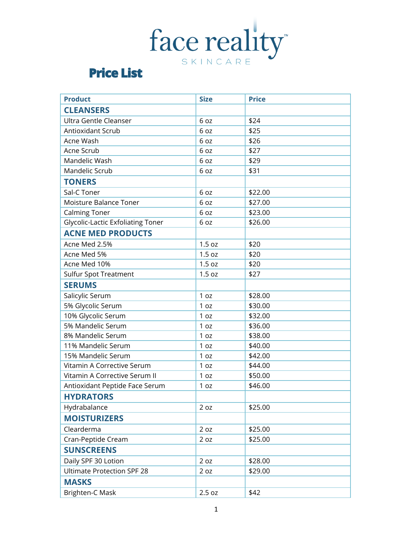## face reality

## **Price List**

| <b>Product</b>                           | <b>Size</b>     | <b>Price</b> |
|------------------------------------------|-----------------|--------------|
| <b>CLEANSERS</b>                         |                 |              |
| Ultra Gentle Cleanser                    | 6 oz            | \$24         |
| Antioxidant Scrub                        | 6 oz            | \$25         |
| Acne Wash                                | 6 oz            | \$26         |
| Acne Scrub                               | 6 oz            | \$27         |
| Mandelic Wash                            | 6 oz            | \$29         |
| Mandelic Scrub                           | 6 oz            | \$31         |
| <b>TONERS</b>                            |                 |              |
| Sal-C Toner                              | 6 oz            | \$22.00      |
| Moisture Balance Toner                   | 6 oz            | \$27.00      |
| <b>Calming Toner</b>                     | 6 oz            | \$23.00      |
| <b>Glycolic-Lactic Exfoliating Toner</b> | 6 oz            | \$26.00      |
| <b>ACNE MED PRODUCTS</b>                 |                 |              |
| Acne Med 2.5%                            | 1.5 oz          | \$20         |
| Acne Med 5%                              | 1.5 oz          | \$20         |
| Acne Med 10%                             | 1.5 oz          | \$20         |
| <b>Sulfur Spot Treatment</b>             | 1.5 oz          | \$27         |
| <b>SERUMS</b>                            |                 |              |
| Salicylic Serum                          | 1 oz            | \$28.00      |
| 5% Glycolic Serum                        | 1 oz            | \$30.00      |
| 10% Glycolic Serum                       | 1 oz            | \$32.00      |
| 5% Mandelic Serum                        | 1 oz            | \$36.00      |
| 8% Mandelic Serum                        | 1 <sub>oz</sub> | \$38.00      |
| 11% Mandelic Serum                       | 1 oz            | \$40.00      |
| 15% Mandelic Serum                       | 1 oz            | \$42.00      |
| Vitamin A Corrective Serum               | 1 oz            | \$44.00      |
| Vitamin A Corrective Serum II            | 1 oz            | \$50.00      |
| Antioxidant Peptide Face Serum           | 1 oz            | \$46.00      |
| <b>HYDRATORS</b>                         |                 |              |
| Hydrabalance                             | 2 oz            | \$25.00      |
| <b>MOISTURIZERS</b>                      |                 |              |
| Clearderma                               | 2 oz            | \$25.00      |
| Cran-Peptide Cream                       | 2 oz            | \$25.00      |
| <b>SUNSCREENS</b>                        |                 |              |
| Daily SPF 30 Lotion                      | 2 oz            | \$28.00      |
| <b>Ultimate Protection SPF 28</b>        | 2 oz            | \$29.00      |
| <b>MASKS</b>                             |                 |              |
| Brighten-C Mask                          | 2.5 oz          | \$42         |